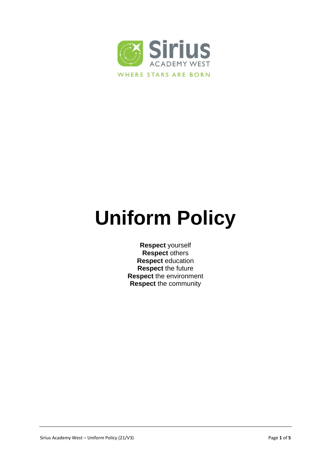

# **Uniform Policy**

**Respect** yourself **Respect** others **Respect** education **Respect** the future **Respect** the environment **Respect** the community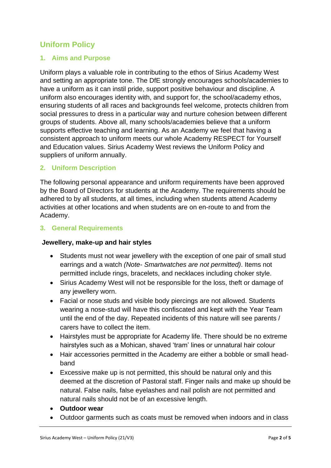## **Uniform Policy**

#### **1. Aims and Purpose**

Uniform plays a valuable role in contributing to the ethos of Sirius Academy West and setting an appropriate tone. The DfE strongly encourages schools/academies to have a uniform as it can instil pride, support positive behaviour and discipline. A uniform also encourages identity with, and support for, the school/academy ethos, ensuring students of all races and backgrounds feel welcome, protects children from social pressures to dress in a particular way and nurture cohesion between different groups of students. Above all, many schools/academies believe that a uniform supports effective teaching and learning. As an Academy we feel that having a consistent approach to uniform meets our whole Academy RESPECT for Yourself and Education values. Sirius Academy West reviews the Uniform Policy and suppliers of uniform annually.

#### **2. Uniform Description**

The following personal appearance and uniform requirements have been approved by the Board of Directors for students at the Academy. The requirements should be adhered to by all students, at all times, including when students attend Academy activities at other locations and when students are on en-route to and from the Academy.

#### **3. General Requirements**

#### **Jewellery, make-up and hair styles**

- Students must not wear jewellery with the exception of one pair of small stud earrings and a watch *(Note- Smartwatches are not permitted)*. Items not permitted include rings, bracelets, and necklaces including choker style.
- Sirius Academy West will not be responsible for the loss, theft or damage of any jewellery worn.
- Facial or nose studs and visible body piercings are not allowed. Students wearing a nose-stud will have this confiscated and kept with the Year Team until the end of the day. Repeated incidents of this nature will see parents / carers have to collect the item.
- Hairstyles must be appropriate for Academy life. There should be no extreme hairstyles such as a Mohican, shaved 'tram' lines or unnatural hair colour
- Hair accessories permitted in the Academy are either a bobble or small headband
- Excessive make up is not permitted, this should be natural only and this deemed at the discretion of Pastoral staff. Finger nails and make up should be natural. False nails, false eyelashes and nail polish are not permitted and natural nails should not be of an excessive length.
- **Outdoor wear**
- Outdoor garments such as coats must be removed when indoors and in class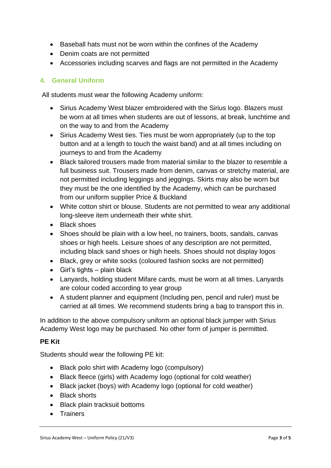- Baseball hats must not be worn within the confines of the Academy
- Denim coats are not permitted
- Accessories including scarves and flags are not permitted in the Academy

## **4. General Uniform**

All students must wear the following Academy uniform:

- Sirius Academy West blazer embroidered with the Sirius logo. Blazers must be worn at all times when students are out of lessons, at break, lunchtime and on the way to and from the Academy
- Sirius Academy West ties. Ties must be worn appropriately (up to the top button and at a length to touch the waist band) and at all times including on journeys to and from the Academy
- Black tailored trousers made from material similar to the blazer to resemble a full business suit. Trousers made from denim, canvas or stretchy material, are not permitted including leggings and jeggings. Skirts may also be worn but they must be the one identified by the Academy, which can be purchased from our uniform supplier Price & Buckland
- White cotton shirt or blouse. Students are not permitted to wear any additional long-sleeve item underneath their white shirt.
- Black shoes
- Shoes should be plain with a low heel, no trainers, boots, sandals, canvas shoes or high heels. Leisure shoes of any description are not permitted, including black sand shoes or high heels. Shoes should not display logos
- Black, grey or white socks (coloured fashion socks are not permitted)
- $\bullet$  Girl's tights plain black
- Lanyards, holding student Mifare cards, must be worn at all times. Lanyards are colour coded according to year group
- A student planner and equipment (Including pen, pencil and ruler) must be carried at all times. We recommend students bring a bag to transport this in.

In addition to the above compulsory uniform an optional black jumper with Sirius Academy West logo may be purchased. No other form of jumper is permitted.

#### **PE Kit**

Students should wear the following PE kit:

- Black polo shirt with Academy logo (compulsory)
- Black fleece (girls) with Academy logo (optional for cold weather)
- Black jacket (boys) with Academy logo (optional for cold weather)
- Black shorts
- Black plain tracksuit bottoms
- Trainers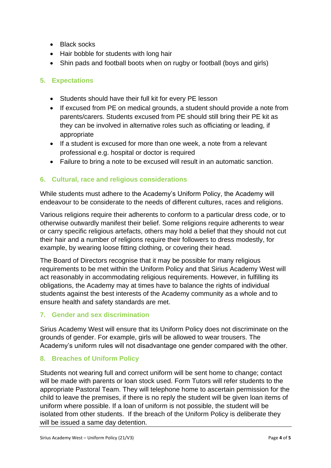- Black socks
- Hair bobble for students with long hair
- Shin pads and football boots when on rugby or football (boys and girls)

## **5. Expectations**

- Students should have their full kit for every PE lesson
- If excused from PE on medical grounds, a student should provide a note from parents/carers. Students excused from PE should still bring their PE kit as they can be involved in alternative roles such as officiating or leading, if appropriate
- If a student is excused for more than one week, a note from a relevant professional e.g. hospital or doctor is required
- Failure to bring a note to be excused will result in an automatic sanction.

## **6. Cultural, race and religious considerations**

While students must adhere to the Academy's Uniform Policy, the Academy will endeavour to be considerate to the needs of different cultures, races and religions.

Various religions require their adherents to conform to a particular dress code, or to otherwise outwardly manifest their belief. Some religions require adherents to wear or carry specific religious artefacts, others may hold a belief that they should not cut their hair and a number of religions require their followers to dress modestly, for example, by wearing loose fitting clothing, or covering their head.

The Board of Directors recognise that it may be possible for many religious requirements to be met within the Uniform Policy and that Sirius Academy West will act reasonably in accommodating religious requirements. However, in fulfilling its obligations, the Academy may at times have to balance the rights of individual students against the best interests of the Academy community as a whole and to ensure health and safety standards are met.

## **7. Gender and sex discrimination**

Sirius Academy West will ensure that its Uniform Policy does not discriminate on the grounds of gender. For example, girls will be allowed to wear trousers. The Academy's uniform rules will not disadvantage one gender compared with the other.

## **8. Breaches of Uniform Policy**

Students not wearing full and correct uniform will be sent home to change; contact will be made with parents or loan stock used. Form Tutors will refer students to the appropriate Pastoral Team. They will telephone home to ascertain permission for the child to leave the premises, if there is no reply the student will be given loan items of uniform where possible. If a loan of uniform is not possible, the student will be isolated from other students. If the breach of the Uniform Policy is deliberate they will be issued a same day detention.